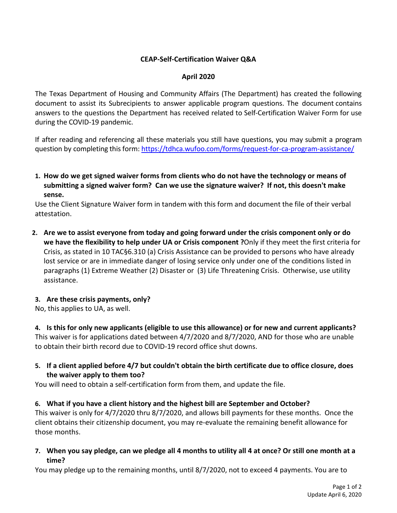# **CEAP-Self-Certification Waiver Q&A**

### **April 2020**

The Texas Department of Housing and Community Affairs (The Department) has created the following document to assist its Subrecipients to answer applicable program questions. The document contains answers to the questions the Department has received related to Self-Certification Waiver Form for use during the COVID-19 pandemic.

If after reading and referencing all these materials you still have questions, you may submit a program question by completing this form: <https://tdhca.wufoo.com/forms/request-for-ca-program-assistance/>

**1. How do we get signed waiver forms from clients who do not have the technology or means of submitting a signed waiver form? Can we use the signature waiver? If not, this doesn't make sense.**

Use the Client Signature Waiver form in tandem with this form and document the file of their verbal attestation.

**2. Are we to assist everyone from today and going forward under the crisis component only or do we have the flexibility to help under UA or Crisis component ?**Only if they meet the first criteria for Crisis, as stated in 10 TAC§6.310 (a) Crisis Assistance can be provided to persons who have already lost service or are in immediate danger of losing service only under one of the conditions listed in paragraphs (1) Extreme Weather (2) Disaster or (3) Life Threatening Crisis. Otherwise, use utility assistance.

#### **3. Are these crisis payments, only?**

No, this applies to UA, as well.

**4. Is this for only new applicants (eligible to use this allowance) or for new and current applicants?** This waiver is for applications dated between 4/7/2020 and 8/7/2020, AND for those who are unable to obtain their birth record due to COVID-19 record office shut downs.

**5. If a client applied before 4/7 but couldn't obtain the birth certificate due to office closure, does the waiver apply to them too?**

You will need to obtain a self-certification form from them, and update the file.

#### **6. What if you have a client history and the highest bill are September and October?**

This waiver is only for 4/7/2020 thru 8/7/2020, and allows bill payments for these months. Once the client obtains their citizenship document, you may re-evaluate the remaining benefit allowance for those months.

**7. When you say pledge, can we pledge all 4 months to utility all 4 at once? Or still one month at a time?**

You may pledge up to the remaining months, until 8/7/2020, not to exceed 4 payments. You are to